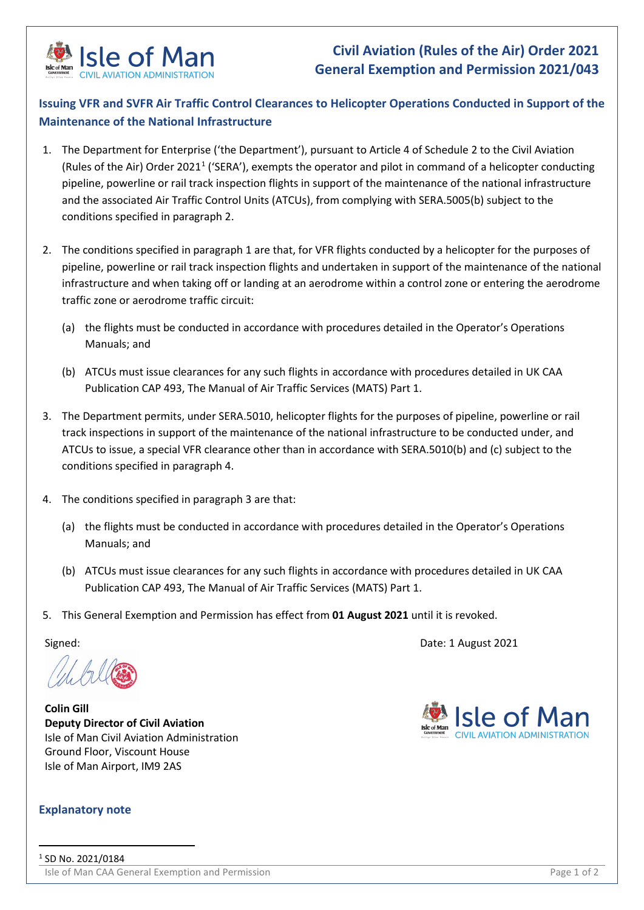

## **Issuing VFR and SVFR Air Traffic Control Clearances to Helicopter Operations Conducted in Support of the Maintenance of the National Infrastructure**

- 1. The Department for Enterprise ('the Department'), pursuant to Article 4 of Schedule 2 to the Civil Aviation (Rules of the Air) Order 202[1](#page-0-0)<sup>1</sup> ('SERA'), exempts the operator and pilot in command of a helicopter conducting pipeline, powerline or rail track inspection flights in support of the maintenance of the national infrastructure and the associated Air Traffic Control Units (ATCUs), from complying with SERA.5005(b) subject to the conditions specified in paragraph 2.
- 2. The conditions specified in paragraph 1 are that, for VFR flights conducted by a helicopter for the purposes of pipeline, powerline or rail track inspection flights and undertaken in support of the maintenance of the national infrastructure and when taking off or landing at an aerodrome within a control zone or entering the aerodrome traffic zone or aerodrome traffic circuit:
	- (a) the flights must be conducted in accordance with procedures detailed in the Operator's Operations Manuals; and
	- (b) ATCUs must issue clearances for any such flights in accordance with procedures detailed in UK CAA Publication CAP 493, The Manual of Air Traffic Services (MATS) Part 1.
- 3. The Department permits, under SERA.5010, helicopter flights for the purposes of pipeline, powerline or rail track inspections in support of the maintenance of the national infrastructure to be conducted under, and ATCUs to issue, a special VFR clearance other than in accordance with SERA.5010(b) and (c) subject to the conditions specified in paragraph 4.
- 4. The conditions specified in paragraph 3 are that:
	- (a) the flights must be conducted in accordance with procedures detailed in the Operator's Operations Manuals; and
	- (b) ATCUs must issue clearances for any such flights in accordance with procedures detailed in UK CAA Publication CAP 493, The Manual of Air Traffic Services (MATS) Part 1.
- 5. This General Exemption and Permission has effect from **01 August 2021** until it is revoked.

Signed: Date: 1 August 2021

**Colin Gill Deputy Director of Civil Aviation** Isle of Man Civil Aviation Administration Ground Floor, Viscount House Isle of Man Airport, IM9 2AS



## <span id="page-0-0"></span>**Explanatory note**